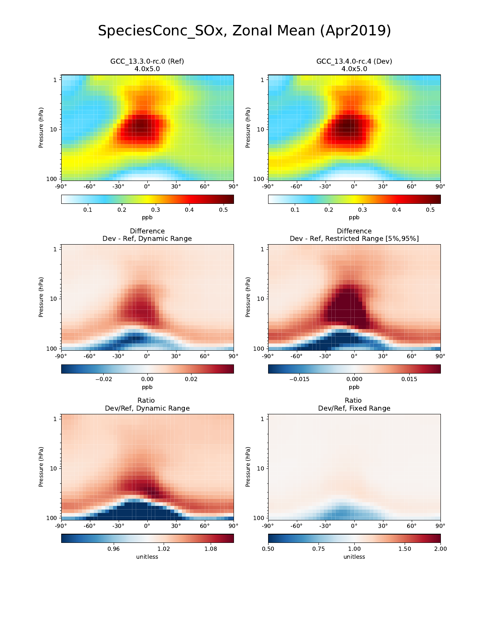# SpeciesConc\_SOx, Zonal Mean (Apr2019)

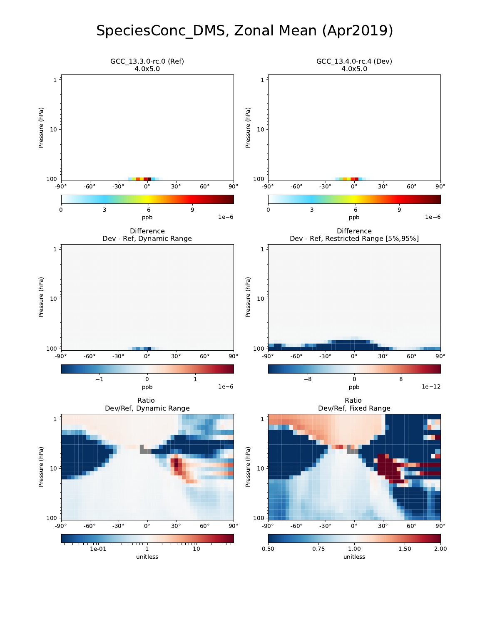#### SpeciesConc\_DMS, Zonal Mean (Apr2019)

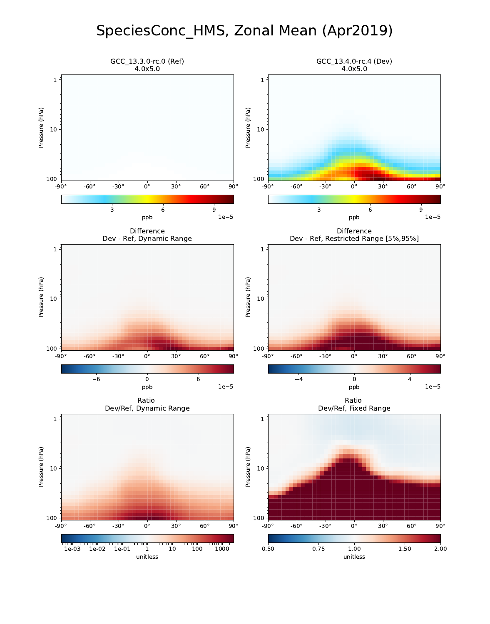#### SpeciesConc\_HMS, Zonal Mean (Apr2019)

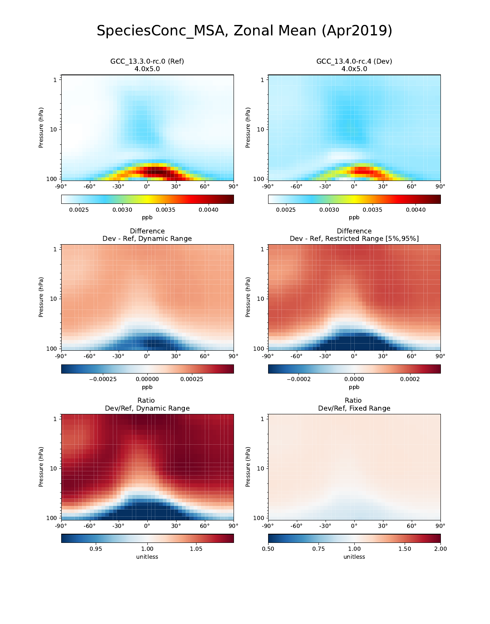#### SpeciesConc\_MSA, Zonal Mean (Apr2019)

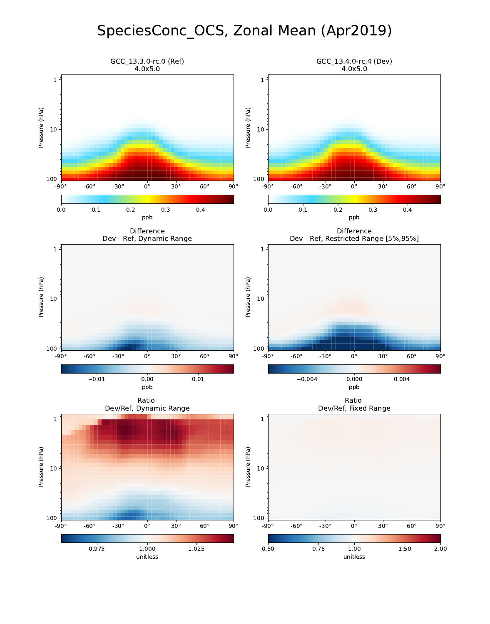## SpeciesConc\_OCS, Zonal Mean (Apr2019)

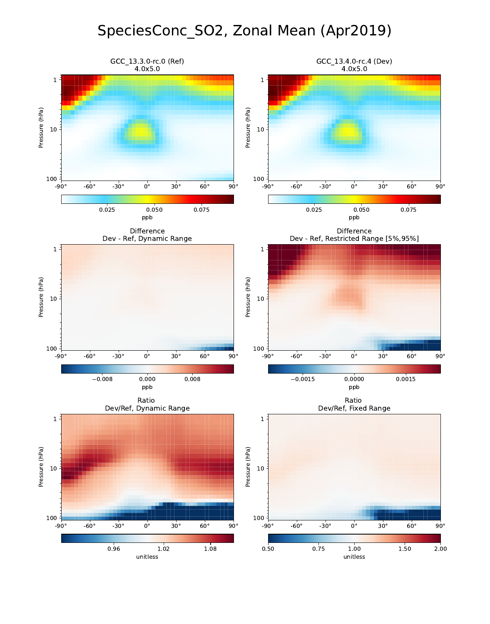### SpeciesConc\_SO2, Zonal Mean (Apr2019)